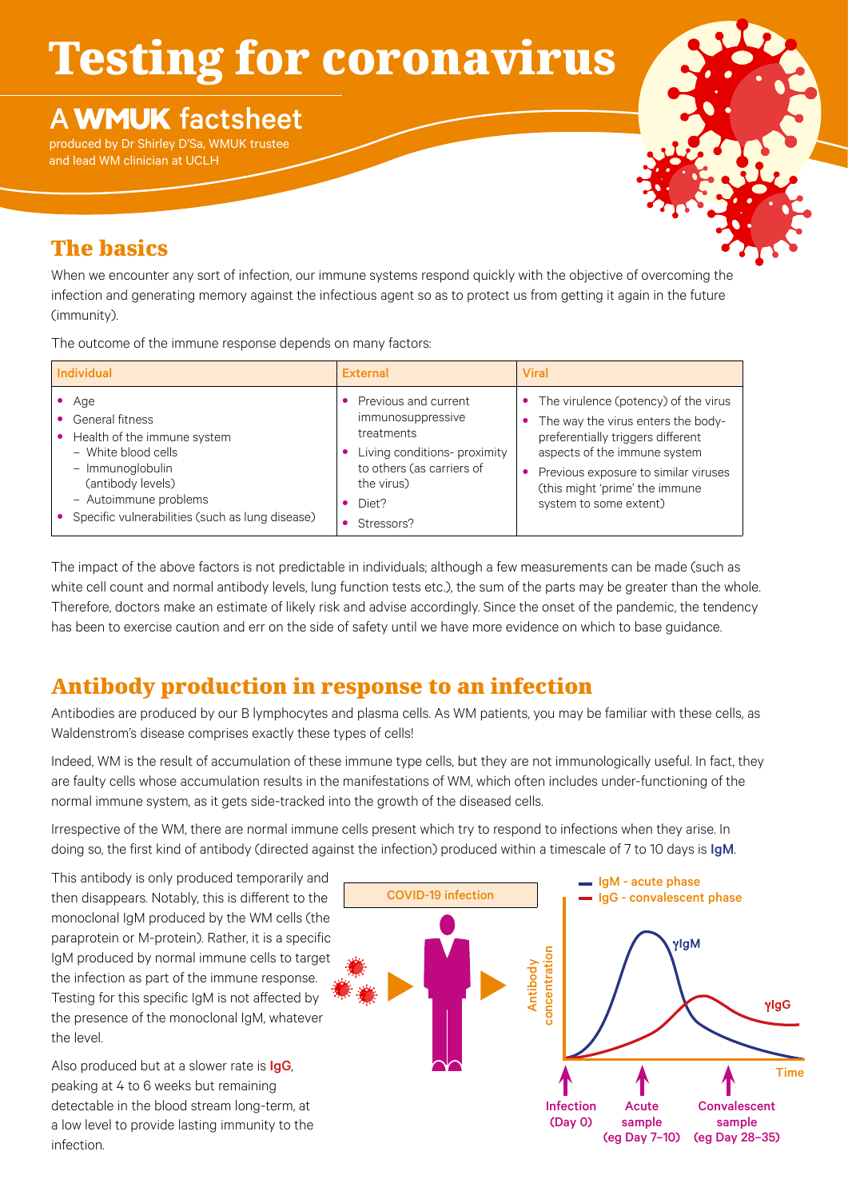# Testing for coronavirus

## **A WMUK** factsheet

produced by Dr Shirley D'Sa, WMUK trustee and lead WM clinician at UCLH



### The basics

When we encounter any sort of infection, our immune systems respond quickly with the objective of overcoming the infection and generating memory against the infectious agent so as to protect us from getting it again in the future (immunity).

The outcome of the immune response depends on many factors:

| <b>Individual</b>                                                                                                                                                                                   | <b>External</b>                                                                                                                                           | <b>Viral</b>                                                                                                                                                                                                                                        |
|-----------------------------------------------------------------------------------------------------------------------------------------------------------------------------------------------------|-----------------------------------------------------------------------------------------------------------------------------------------------------------|-----------------------------------------------------------------------------------------------------------------------------------------------------------------------------------------------------------------------------------------------------|
| Age<br>General fitness<br>Health of the immune system<br>- White blood cells<br>- Immunoglobulin<br>(antibody levels)<br>- Autoimmune problems<br>• Specific vulnerabilities (such as lung disease) | Previous and current<br>immunosuppressive<br>treatments<br>Living conditions- proximity<br>to others (as carriers of<br>the virus)<br>Diet?<br>Stressors? | The virulence (potency) of the virus<br>The way the virus enters the body-<br>preferentially triggers different<br>aspects of the immune system<br>Previous exposure to similar viruses<br>(this might 'prime' the immune<br>system to some extent) |

The impact of the above factors is not predictable in individuals; although a few measurements can be made (such as white cell count and normal antibody levels, lung function tests etc.), the sum of the parts may be greater than the whole. Therefore, doctors make an estimate of likely risk and advise accordingly. Since the onset of the pandemic, the tendency has been to exercise caution and err on the side of safety until we have more evidence on which to base guidance.

## Antibody production in response to an infection

Antibodies are produced by our B lymphocytes and plasma cells. As WM patients, you may be familiar with these cells, as Waldenstrom's disease comprises exactly these types of cells!

Indeed, WM is the result of accumulation of these immune type cells, but they are not immunologically useful. In fact, they are faulty cells whose accumulation results in the manifestations of WM, which often includes under-functioning of the normal immune system, as it gets side-tracked into the growth of the diseased cells.

Irrespective of the WM, there are normal immune cells present which try to respond to infections when they arise. In doing so, the first kind of antibody (directed against the infection) produced within a timescale of 7 to 10 days is IgM.

This antibody is only produced temporarily and then disappears. Notably, this is different to the monoclonal IgM produced by the WM cells (the paraprotein or M-protein). Rather, it is a specific IgM produced by normal immune cells to target the infection as part of the immune response. Testing for this specific IgM is not affected by the presence of the monoclonal IgM, whatever the level.

Also produced but at a slower rate is IgG, peaking at 4 to 6 weeks but remaining detectable in the blood stream long-term, at a low level to provide lasting immunity to the infection.

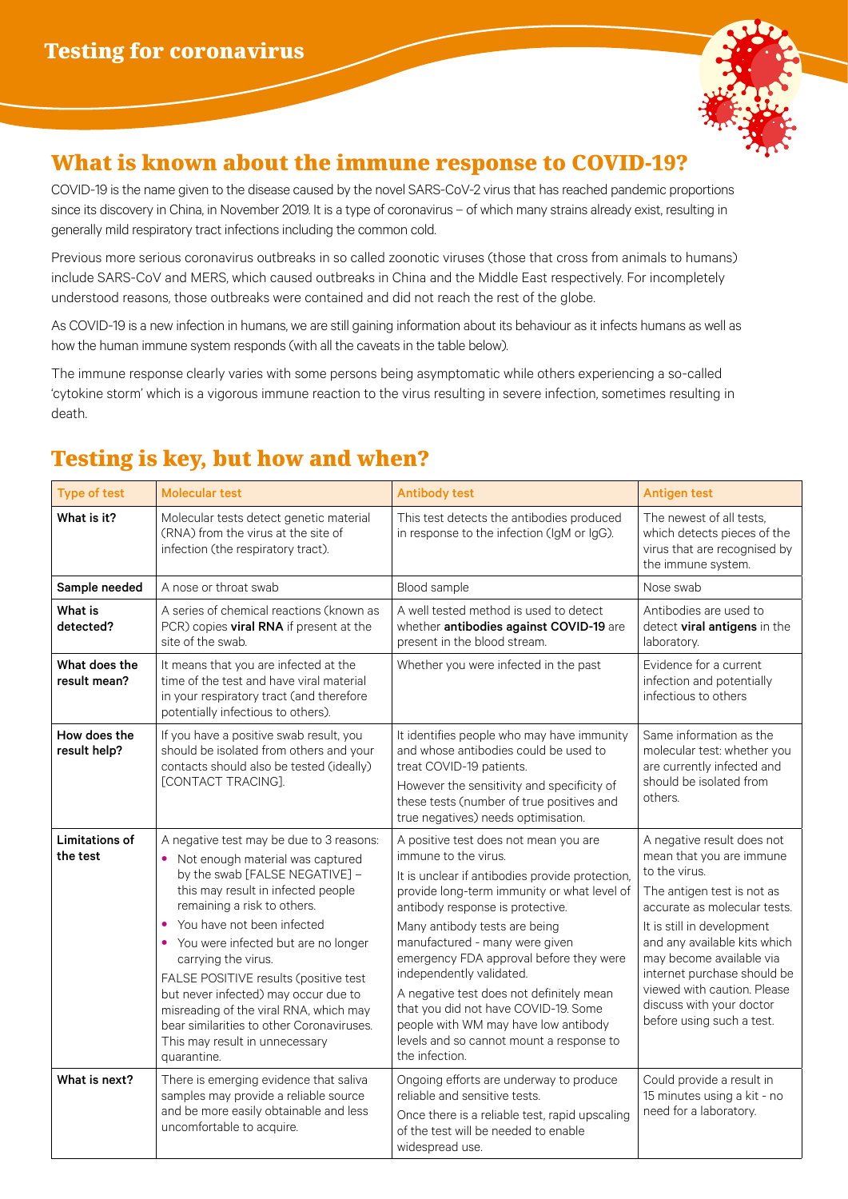

#### What is known about the immune response to COVID-19?

COVID-19 is the name given to the disease caused by the novel SARS-CoV-2 virus that has reached pandemic proportions since its discovery in China, in November 2019. It is a type of coronavirus – of which many strains already exist, resulting in generally mild respiratory tract infections including the common cold.

Previous more serious coronavirus outbreaks in so called zoonotic viruses (those that cross from animals to humans) include SARS-CoV and MERS, which caused outbreaks in China and the Middle East respectively. For incompletely understood reasons, those outbreaks were contained and did not reach the rest of the globe.

As COVID-19 is a new infection in humans, we are still gaining information about its behaviour as it infects humans as well as how the human immune system responds (with all the caveats in the table below).

The immune response clearly varies with some persons being asymptomatic while others experiencing a so-called 'cytokine storm' which is a vigorous immune reaction to the virus resulting in severe infection, sometimes resulting in death.

| <b>Type of test</b>               | <b>Molecular test</b>                                                                                                                                                                                                                                                                                                                                                                                                                                                                                                        | <b>Antibody test</b>                                                                                                                                                                                                                                                                                                                                                                                                                                                                                                                    | <b>Antigen test</b>                                                                                                                                                                                                                                                                                                                                    |
|-----------------------------------|------------------------------------------------------------------------------------------------------------------------------------------------------------------------------------------------------------------------------------------------------------------------------------------------------------------------------------------------------------------------------------------------------------------------------------------------------------------------------------------------------------------------------|-----------------------------------------------------------------------------------------------------------------------------------------------------------------------------------------------------------------------------------------------------------------------------------------------------------------------------------------------------------------------------------------------------------------------------------------------------------------------------------------------------------------------------------------|--------------------------------------------------------------------------------------------------------------------------------------------------------------------------------------------------------------------------------------------------------------------------------------------------------------------------------------------------------|
| What is it?                       | Molecular tests detect genetic material<br>(RNA) from the virus at the site of<br>infection (the respiratory tract).                                                                                                                                                                                                                                                                                                                                                                                                         | This test detects the antibodies produced<br>in response to the infection (IgM or IgG).                                                                                                                                                                                                                                                                                                                                                                                                                                                 | The newest of all tests.<br>which detects pieces of the<br>virus that are recognised by<br>the immune system.                                                                                                                                                                                                                                          |
| Sample needed                     | A nose or throat swab                                                                                                                                                                                                                                                                                                                                                                                                                                                                                                        | Blood sample                                                                                                                                                                                                                                                                                                                                                                                                                                                                                                                            | Nose swab                                                                                                                                                                                                                                                                                                                                              |
| What is<br>detected?              | A series of chemical reactions (known as<br>PCR) copies viral RNA if present at the<br>site of the swab.                                                                                                                                                                                                                                                                                                                                                                                                                     | A well tested method is used to detect<br>whether antibodies against COVID-19 are<br>present in the blood stream.                                                                                                                                                                                                                                                                                                                                                                                                                       | Antibodies are used to<br>detect viral antigens in the<br>laboratory.                                                                                                                                                                                                                                                                                  |
| What does the<br>result mean?     | It means that you are infected at the<br>time of the test and have viral material<br>in your respiratory tract (and therefore<br>potentially infectious to others).                                                                                                                                                                                                                                                                                                                                                          | Whether you were infected in the past                                                                                                                                                                                                                                                                                                                                                                                                                                                                                                   | Evidence for a current<br>infection and potentially<br>infectious to others                                                                                                                                                                                                                                                                            |
| How does the<br>result help?      | If you have a positive swab result, you<br>should be isolated from others and your<br>contacts should also be tested (ideally)<br>[CONTACT TRACING].                                                                                                                                                                                                                                                                                                                                                                         | It identifies people who may have immunity<br>and whose antibodies could be used to<br>treat COVID-19 patients.<br>However the sensitivity and specificity of<br>these tests (number of true positives and<br>true negatives) needs optimisation.                                                                                                                                                                                                                                                                                       | Same information as the<br>molecular test: whether you<br>are currently infected and<br>should be isolated from<br>others.                                                                                                                                                                                                                             |
| <b>Limitations of</b><br>the test | A negative test may be due to 3 reasons:<br>Not enough material was captured<br>٠<br>by the swab [FALSE NEGATIVE] -<br>this may result in infected people<br>remaining a risk to others.<br>You have not been infected<br>$\bullet$<br>• You were infected but are no longer<br>carrying the virus.<br>FALSE POSITIVE results (positive test<br>but never infected) may occur due to<br>misreading of the viral RNA, which may<br>bear similarities to other Coronaviruses.<br>This may result in unnecessary<br>quarantine. | A positive test does not mean you are<br>immune to the virus.<br>It is unclear if antibodies provide protection,<br>provide long-term immunity or what level of<br>antibody response is protective.<br>Many antibody tests are being<br>manufactured - many were given<br>emergency FDA approval before they were<br>independently validated.<br>A negative test does not definitely mean<br>that you did not have COVID-19. Some<br>people with WM may have low antibody<br>levels and so cannot mount a response to<br>the infection. | A negative result does not<br>mean that you are immune<br>to the virus.<br>The antigen test is not as<br>accurate as molecular tests.<br>It is still in development<br>and any available kits which<br>may become available via<br>internet purchase should be<br>viewed with caution. Please<br>discuss with your doctor<br>before using such a test. |
| What is next?                     | There is emerging evidence that saliva<br>samples may provide a reliable source<br>and be more easily obtainable and less<br>uncomfortable to acquire.                                                                                                                                                                                                                                                                                                                                                                       | Ongoing efforts are underway to produce<br>reliable and sensitive tests.<br>Once there is a reliable test, rapid upscaling<br>of the test will be needed to enable<br>widespread use.                                                                                                                                                                                                                                                                                                                                                   | Could provide a result in<br>15 minutes using a kit - no<br>need for a laboratory.                                                                                                                                                                                                                                                                     |

## Testing is key, but how and when?